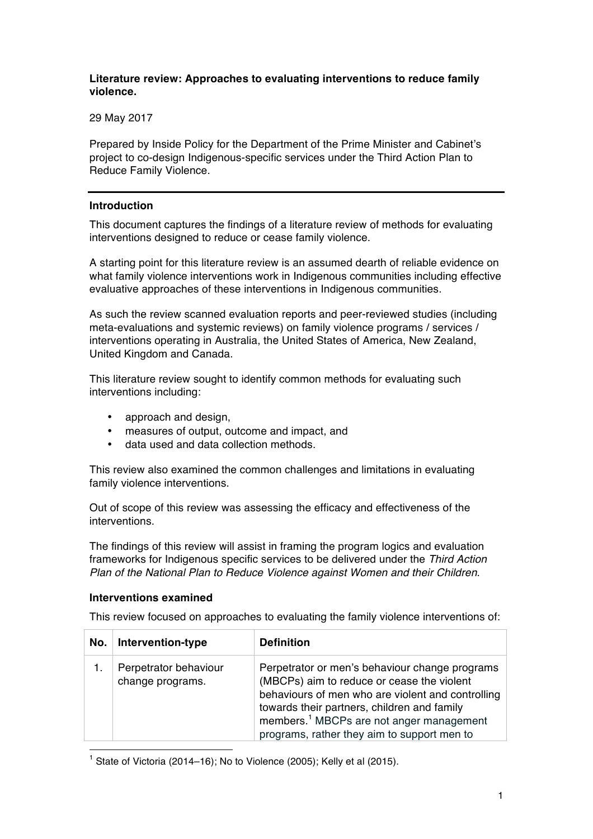## **Literature review: Approaches to evaluating interventions to reduce family violence.**

29 May 2017

Prepared by Inside Policy for the Department of the Prime Minister and Cabinet's project to co-design Indigenous-specific services under the Third Action Plan to Reduce Family Violence.

### **Introduction**

This document captures the findings of a literature review of methods for evaluating interventions designed to reduce or cease family violence.

A starting point for this literature review is an assumed dearth of reliable evidence on what family violence interventions work in Indigenous communities including effective evaluative approaches of these interventions in Indigenous communities.

As such the review scanned evaluation reports and peer-reviewed studies (including meta-evaluations and systemic reviews) on family violence programs / services / interventions operating in Australia, the United States of America, New Zealand, United Kingdom and Canada.

This literature review sought to identify common methods for evaluating such interventions including:

- approach and design,
- measures of output, outcome and impact, and
- data used and data collection methods.

This review also examined the common challenges and limitations in evaluating family violence interventions.

Out of scope of this review was assessing the efficacy and effectiveness of the interventions.

The findings of this review will assist in framing the program logics and evaluation frameworks for Indigenous specific services to be delivered under the *Third Action Plan of the National Plan to Reduce Violence against Women and their Children*.

#### **Interventions examined**

This review focused on approaches to evaluating the family violence interventions of:

| No. | Intervention-type                         | <b>Definition</b>                                                                                                                                                                                                                                                                                       |
|-----|-------------------------------------------|---------------------------------------------------------------------------------------------------------------------------------------------------------------------------------------------------------------------------------------------------------------------------------------------------------|
|     | Perpetrator behaviour<br>change programs. | Perpetrator or men's behaviour change programs<br>(MBCPs) aim to reduce or cease the violent<br>behaviours of men who are violent and controlling<br>towards their partners, children and family<br>members. <sup>1</sup> MBCPs are not anger management<br>programs, rather they aim to support men to |

<sup>1</sup> State of Victoria (2014–16); No to Violence (2005); Kelly et al (2015).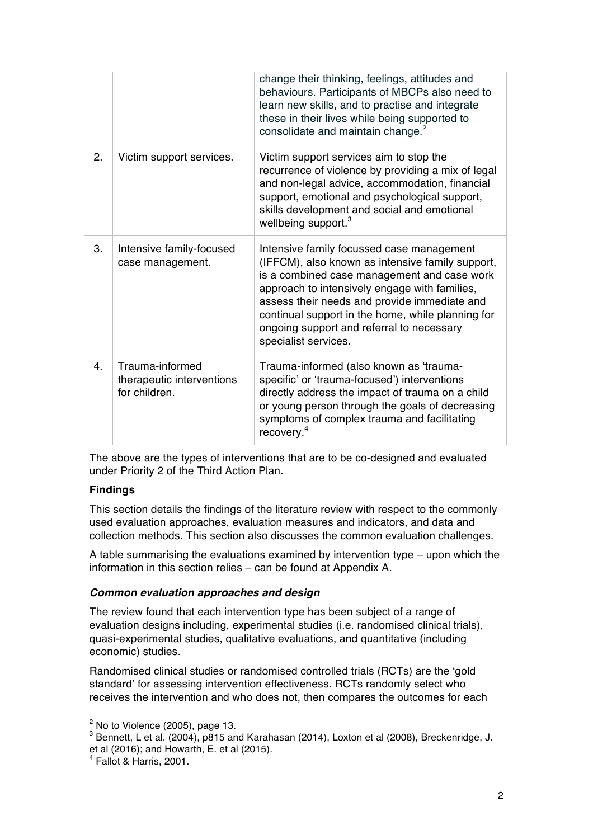|                |                                                               | change their thinking, feelings, attitudes and<br>behaviours. Participants of MBCPs also need to<br>learn new skills, and to practise and integrate<br>these in their lives while being supported to<br>consolidate and maintain change. <sup>2</sup>                                                                                                                   |
|----------------|---------------------------------------------------------------|-------------------------------------------------------------------------------------------------------------------------------------------------------------------------------------------------------------------------------------------------------------------------------------------------------------------------------------------------------------------------|
| 2.             | Victim support services.                                      | Victim support services aim to stop the<br>recurrence of violence by providing a mix of legal<br>and non-legal advice, accommodation, financial<br>support, emotional and psychological support,<br>skills development and social and emotional<br>wellbeing support. <sup>3</sup>                                                                                      |
| 3.             | Intensive family-focused<br>case management.                  | Intensive family focussed case management<br>(IFFCM), also known as intensive family support,<br>is a combined case management and case work<br>approach to intensively engage with families,<br>assess their needs and provide immediate and<br>continual support in the home, while planning for<br>ongoing support and referral to necessary<br>specialist services. |
| 4 <sub>1</sub> | Trauma-informed<br>therapeutic interventions<br>for children. | Trauma-informed (also known as 'trauma-<br>specific' or 'trauma-focused') interventions<br>directly address the impact of trauma on a child<br>or young person through the goals of decreasing<br>symptoms of complex trauma and facilitating<br>recovery. <sup>4</sup>                                                                                                 |

The above are the types of interventions that are to be co-designed and evaluated under Priority 2 of the Third Action Plan.

### **Findings**

This section details the findings of the literature review with respect to the commonly used evaluation approaches, evaluation measures and indicators, and data and collection methods. This section also discusses the common evaluation challenges.

A table summarising the evaluations examined by intervention type – upon which the information in this section relies – can be found at Appendix A.

### *Common evaluation approaches and design*

The review found that each intervention type has been subject of a range of evaluation designs including, experimental studies (i.e. randomised clinical trials), quasi-experimental studies, qualitative evaluations, and quantitative (including economic) studies.

Randomised clinical studies or randomised controlled trials (RCTs) are the 'gold standard' for assessing intervention effectiveness. RCTs randomly select who receives the intervention and who does not, then compares the outcomes for each

 $2$  No to Violence (2005), page 13.

 $3$  Bennett, L et al. (2004), p815 and Karahasan (2014), Loxton et al (2008), Breckenridge, J. et al (2016); and Howarth, E. et al (2015).

 $<sup>4</sup>$  Fallot & Harris, 2001.</sup>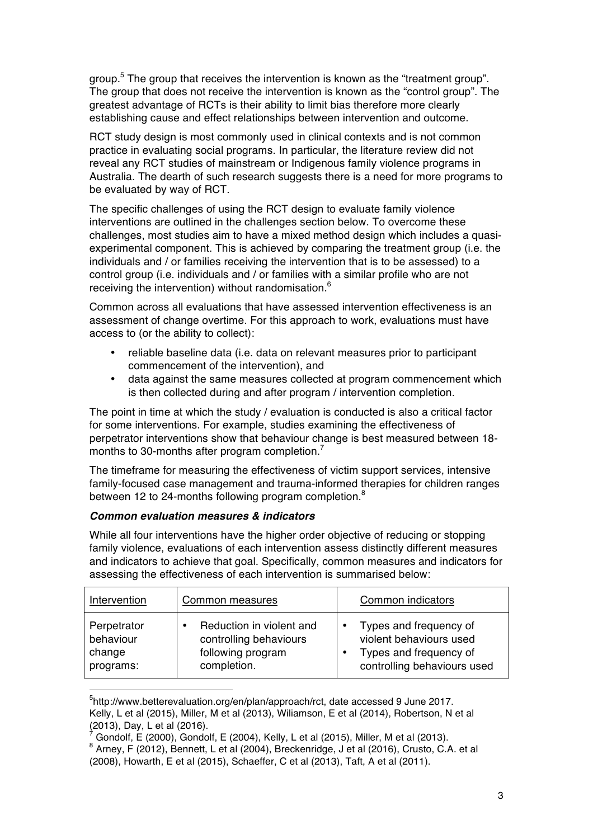group.5 The group that receives the intervention is known as the "treatment group". The group that does not receive the intervention is known as the "control group". The greatest advantage of RCTs is their ability to limit bias therefore more clearly establishing cause and effect relationships between intervention and outcome.

RCT study design is most commonly used in clinical contexts and is not common practice in evaluating social programs. In particular, the literature review did not reveal any RCT studies of mainstream or Indigenous family violence programs in Australia. The dearth of such research suggests there is a need for more programs to be evaluated by way of RCT.

The specific challenges of using the RCT design to evaluate family violence interventions are outlined in the challenges section below. To overcome these challenges, most studies aim to have a mixed method design which includes a quasiexperimental component. This is achieved by comparing the treatment group (i.e. the individuals and / or families receiving the intervention that is to be assessed) to a control group (i.e. individuals and / or families with a similar profile who are not receiving the intervention) without randomisation.<sup>6</sup>

Common across all evaluations that have assessed intervention effectiveness is an assessment of change overtime. For this approach to work, evaluations must have access to (or the ability to collect):

- reliable baseline data (i.e. data on relevant measures prior to participant commencement of the intervention), and
- data against the same measures collected at program commencement which is then collected during and after program / intervention completion.

The point in time at which the study / evaluation is conducted is also a critical factor for some interventions. For example, studies examining the effectiveness of perpetrator interventions show that behaviour change is best measured between 18 months to 30-months after program completion.<sup>7</sup>

The timeframe for measuring the effectiveness of victim support services, intensive family-focused case management and trauma-informed therapies for children ranges between 12 to 24-months following program completion.<sup>8</sup>

### *Common evaluation measures & indicators*

While all four interventions have the higher order objective of reducing or stopping family violence, evaluations of each intervention assess distinctly different measures and indicators to achieve that goal. Specifically, common measures and indicators for assessing the effectiveness of each intervention is summarised below:

| Intervention                                    | Common measures                                                                        | Common indicators                                                                                                       |
|-------------------------------------------------|----------------------------------------------------------------------------------------|-------------------------------------------------------------------------------------------------------------------------|
| Perpetrator<br>behaviour<br>change<br>programs: | Reduction in violent and<br>controlling behaviours<br>following program<br>completion. | Types and frequency of<br>$\bullet$<br>violent behaviours used<br>Types and frequency of<br>controlling behaviours used |

 <sup>5</sup> http://www.betterevaluation.org/en/plan/approach/rct, date accessed 9 June 2017. Kelly, L et al (2015), Miller, M et al (2013), Wiliamson, E et al (2014), Robertson, N et al (2016).

Gondolf, E (2000), Gondolf, E (2004), Kelly, L et al (2015), Miller, M et al (2013).

 $8$  Arney, F (2012), Bennett, L et al (2004), Breckenridge, J et al (2016), Crusto, C.A. et al (2008), Howarth, E et al (2015), Schaeffer, C et al (2013), Taft, A et al (2011).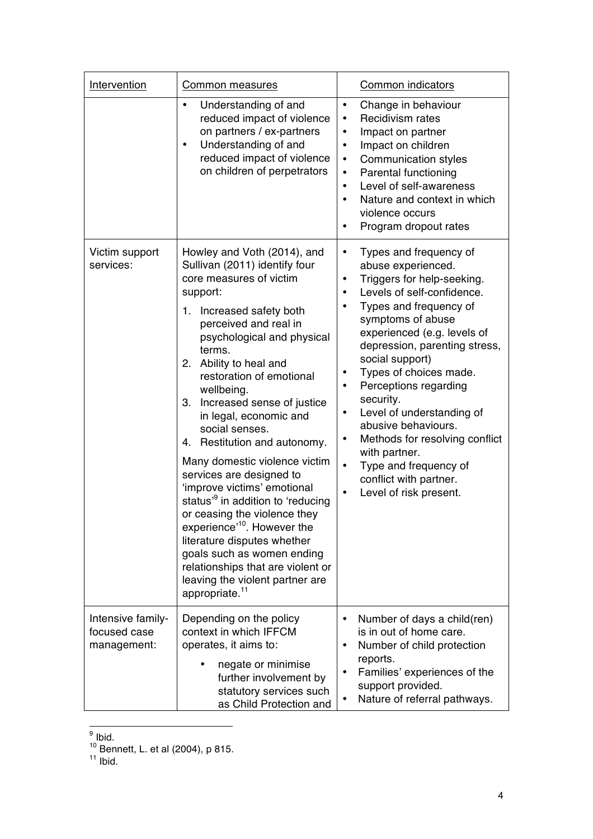| Intervention                                     | Common measures                                                                                                                                                                                                                                                                                                                                                                                                                                                                                                                                                                                                                                                                                                                                                                         | Common indicators                                                                                                                                                                                                                                                                                                                                                                                                                                                                                                                                                                                                |  |  |
|--------------------------------------------------|-----------------------------------------------------------------------------------------------------------------------------------------------------------------------------------------------------------------------------------------------------------------------------------------------------------------------------------------------------------------------------------------------------------------------------------------------------------------------------------------------------------------------------------------------------------------------------------------------------------------------------------------------------------------------------------------------------------------------------------------------------------------------------------------|------------------------------------------------------------------------------------------------------------------------------------------------------------------------------------------------------------------------------------------------------------------------------------------------------------------------------------------------------------------------------------------------------------------------------------------------------------------------------------------------------------------------------------------------------------------------------------------------------------------|--|--|
|                                                  | Understanding of and<br>$\bullet$<br>reduced impact of violence<br>on partners / ex-partners<br>Understanding of and<br>$\bullet$<br>reduced impact of violence<br>on children of perpetrators                                                                                                                                                                                                                                                                                                                                                                                                                                                                                                                                                                                          | Change in behaviour<br>$\bullet$<br>Recidivism rates<br>$\bullet$<br>Impact on partner<br>٠<br>Impact on children<br>$\bullet$<br><b>Communication styles</b><br>$\bullet$<br>Parental functioning<br>٠<br>Level of self-awareness<br>$\bullet$<br>Nature and context in which<br>violence occurs<br>Program dropout rates<br>$\bullet$                                                                                                                                                                                                                                                                          |  |  |
| Victim support<br>services:                      | Howley and Voth (2014), and<br>Sullivan (2011) identify four<br>core measures of victim<br>support:<br>Increased safety both<br>1.<br>perceived and real in<br>psychological and physical<br>terms.<br>Ability to heal and<br>2.<br>restoration of emotional<br>wellbeing.<br>Increased sense of justice<br>3.<br>in legal, economic and<br>social senses.<br>Restitution and autonomy.<br>4.<br>Many domestic violence victim<br>services are designed to<br>'improve victims' emotional<br>status <sup>3</sup> in addition to 'reducing<br>or ceasing the violence they<br>experience <sup>'10</sup> . However the<br>literature disputes whether<br>goals such as women ending<br>relationships that are violent or<br>leaving the violent partner are<br>appropriate. <sup>11</sup> | Types and frequency of<br>$\bullet$<br>abuse experienced.<br>Triggers for help-seeking.<br>۰<br>Levels of self-confidence.<br>٠<br>Types and frequency of<br>$\bullet$<br>symptoms of abuse<br>experienced (e.g. levels of<br>depression, parenting stress,<br>social support)<br>Types of choices made.<br>$\bullet$<br>Perceptions regarding<br>$\bullet$<br>security.<br>Level of understanding of<br>$\bullet$<br>abusive behaviours.<br>Methods for resolving conflict<br>$\bullet$<br>with partner.<br>$\bullet$<br>Type and frequency of<br>conflict with partner.<br>Level of risk present.<br>$\bullet$ |  |  |
| Intensive family-<br>focused case<br>management: | Depending on the policy<br>context in which IFFCM<br>operates, it aims to:<br>negate or minimise<br>further involvement by<br>statutory services such<br>as Child Protection and                                                                                                                                                                                                                                                                                                                                                                                                                                                                                                                                                                                                        | Number of days a child(ren)<br>$\bullet$<br>is in out of home care.<br>Number of child protection<br>٠<br>reports.<br>Families' experiences of the<br>$\bullet$<br>support provided.<br>Nature of referral pathways.<br>$\bullet$                                                                                                                                                                                                                                                                                                                                                                                |  |  |

 <sup>9</sup> Ibid.

<sup>&</sup>lt;sup>10</sup> Bennett, L. et al (2004), p 815.

 $11$  Ibid.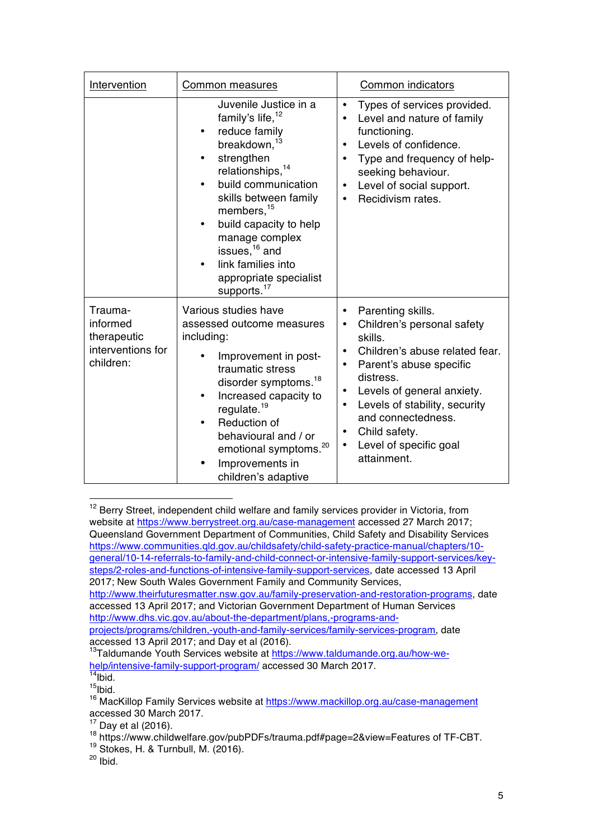| Intervention                                                         | Common measures                                                                                                                                                                                                                                                                                                                                                                                           | Common indicators                                                                                                                                                                                                                                                                                                                                           |  |  |
|----------------------------------------------------------------------|-----------------------------------------------------------------------------------------------------------------------------------------------------------------------------------------------------------------------------------------------------------------------------------------------------------------------------------------------------------------------------------------------------------|-------------------------------------------------------------------------------------------------------------------------------------------------------------------------------------------------------------------------------------------------------------------------------------------------------------------------------------------------------------|--|--|
|                                                                      | Juvenile Justice in a<br>family's life, <sup>12</sup><br>reduce family<br>٠<br>breakdown, <sup>13</sup><br>strengthen<br>٠<br>relationships, <sup>14</sup><br>build communication<br>$\bullet$<br>skills between family<br>members, <sup>15</sup><br>build capacity to help<br>$\bullet$<br>manage complex<br>issues, $16$ and<br>link families into<br>appropriate specialist<br>supports. <sup>17</sup> | Types of services provided.<br>۰<br>Level and nature of family<br>$\bullet$<br>functioning.<br>Levels of confidence.<br>$\bullet$<br>Type and frequency of help-<br>$\bullet$<br>seeking behaviour.<br>Level of social support.<br>$\bullet$<br>Recidivism rates.<br>$\bullet$                                                                              |  |  |
| Trauma-<br>informed<br>therapeutic<br>interventions for<br>children: | Various studies have<br>assessed outcome measures<br>including:<br>Improvement in post-<br>traumatic stress<br>disorder symptoms. <sup>18</sup><br>Increased capacity to<br>$\bullet$<br>regulate. <sup>19</sup><br>Reduction of<br>$\bullet$<br>behavioural and / or<br>emotional symptoms. <sup>20</sup><br>Improvements in<br>children's adaptive                                                      | Parenting skills.<br>$\bullet$<br>Children's personal safety<br>٠<br>skills.<br>Children's abuse related fear.<br>$\bullet$<br>Parent's abuse specific<br>$\bullet$<br>distress.<br>Levels of general anxiety.<br>٠<br>Levels of stability, security<br>$\bullet$<br>and connectedness.<br>Child safety.<br>٠<br>Level of specific goal<br>٠<br>attainment. |  |  |

<sup>&</sup>lt;sup>12</sup> Berry Street, independent child welfare and family services provider in Victoria, from website at https://www.berrystreet.org.au/case-management accessed 27 March 2017; Queensland Government Department of Communities, Child Safety and Disability Services https://www.communities.qld.gov.au/childsafety/child-safety-practice-manual/chapters/10 general/10-14-referrals-to-family-and-child-connect-or-intensive-family-support-services/keysteps/2-roles-and-functions-of-intensive-family-support-services, date accessed 13 April 2017; New South Wales Government Family and Community Services, http://www.theirfuturesmatter.nsw.gov.au/family-preservation-and-restoration-programs, date accessed 13 April 2017; and Victorian Government Department of Human Services http://www.dhs.vic.gov.au/about-the-department/plans,-programs-andprojects/programs/children,-youth-and-family-services/family-services-program, date accessed 13 April 2017; and Day et al (2016).

 $19$  Stokes, H. & Turnbull, M. (2016).

 

<sup>13</sup>Taldumande Youth Services website at https://www.taldumande.org.au/how-wehelp/intensive-family-support-program/ accessed 30 March 2017.

 $14$ Ibid.  $15$ Ibid.

<sup>&</sup>lt;sup>16</sup> MacKillop Family Services website at https://www.mackillop.org.au/case-management accessed 30 March 2017.

 $17$  Day et al (2016).

<sup>18</sup> https://www.childwelfare.gov/pubPDFs/trauma.pdf#page=2&view=Features of TF-CBT.

 $20$  Ibid.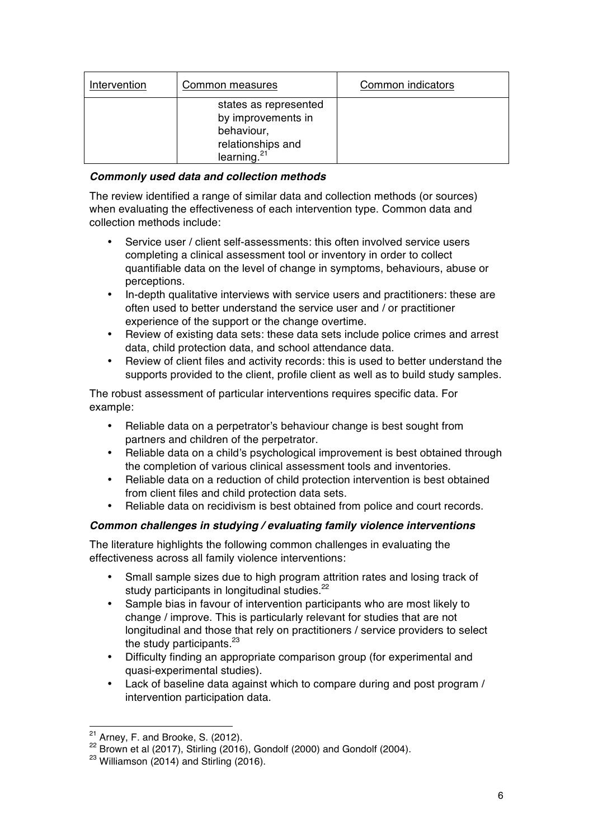| Intervention | Common measures                                                                                  | Common indicators |
|--------------|--------------------------------------------------------------------------------------------------|-------------------|
|              | states as represented<br>by improvements in<br>behaviour,<br>relationships and<br>learning. $21$ |                   |

# *Commonly used data and collection methods*

The review identified a range of similar data and collection methods (or sources) when evaluating the effectiveness of each intervention type. Common data and collection methods include:

- Service user / client self-assessments: this often involved service users completing a clinical assessment tool or inventory in order to collect quantifiable data on the level of change in symptoms, behaviours, abuse or perceptions.
- In-depth qualitative interviews with service users and practitioners: these are often used to better understand the service user and / or practitioner experience of the support or the change overtime.
- Review of existing data sets: these data sets include police crimes and arrest data, child protection data, and school attendance data.
- Review of client files and activity records: this is used to better understand the supports provided to the client, profile client as well as to build study samples.

The robust assessment of particular interventions requires specific data. For example:

- Reliable data on a perpetrator's behaviour change is best sought from partners and children of the perpetrator.
- Reliable data on a child's psychological improvement is best obtained through the completion of various clinical assessment tools and inventories.
- Reliable data on a reduction of child protection intervention is best obtained from client files and child protection data sets.
- Reliable data on recidivism is best obtained from police and court records.

### *Common challenges in studying / evaluating family violence interventions*

The literature highlights the following common challenges in evaluating the effectiveness across all family violence interventions:

- Small sample sizes due to high program attrition rates and losing track of study participants in longitudinal studies.<sup>22</sup>
- Sample bias in favour of intervention participants who are most likely to change / improve. This is particularly relevant for studies that are not longitudinal and those that rely on practitioners / service providers to select the study participants.<sup>23</sup>
- Difficulty finding an appropriate comparison group (for experimental and quasi-experimental studies).
- Lack of baseline data against which to compare during and post program / intervention participation data.

 $21$  Arney, F. and Brooke, S. (2012).

 $22$  Brown et al (2017), Stirling (2016), Gondolf (2000) and Gondolf (2004).

 $23$  Williamson (2014) and Stirling (2016).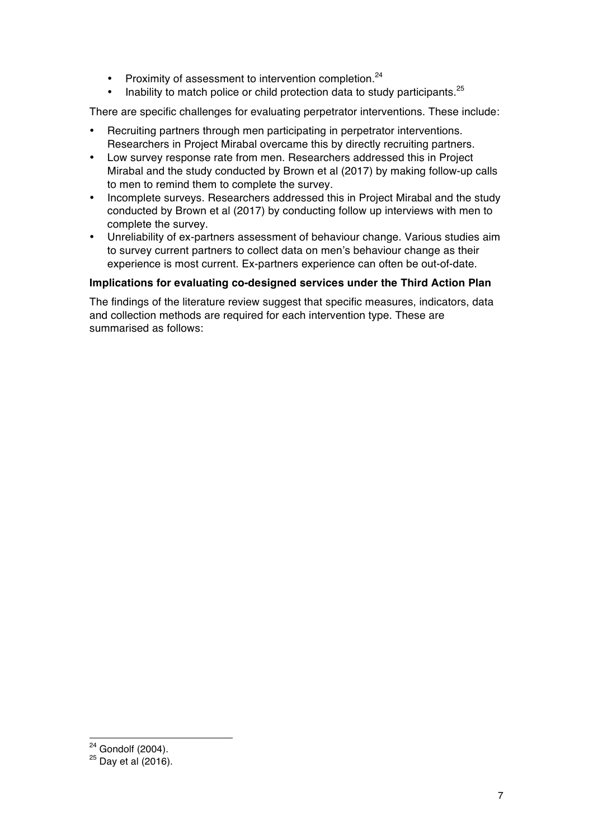- Proximity of assessment to intervention completion.<sup>24</sup>
- Inability to match police or child protection data to study participants.<sup>25</sup>

There are specific challenges for evaluating perpetrator interventions. These include:

- Recruiting partners through men participating in perpetrator interventions. Researchers in Project Mirabal overcame this by directly recruiting partners.
- Low survey response rate from men. Researchers addressed this in Project Mirabal and the study conducted by Brown et al (2017) by making follow-up calls to men to remind them to complete the survey.
- Incomplete surveys. Researchers addressed this in Project Mirabal and the study conducted by Brown et al (2017) by conducting follow up interviews with men to complete the survey.
- Unreliability of ex-partners assessment of behaviour change. Various studies aim to survey current partners to collect data on men's behaviour change as their experience is most current. Ex-partners experience can often be out-of-date.

## **Implications for evaluating co-designed services under the Third Action Plan**

The findings of the literature review suggest that specific measures, indicators, data and collection methods are required for each intervention type. These are summarised as follows:

 $24$  Gondolf (2004).

 $25$  Day et al (2016).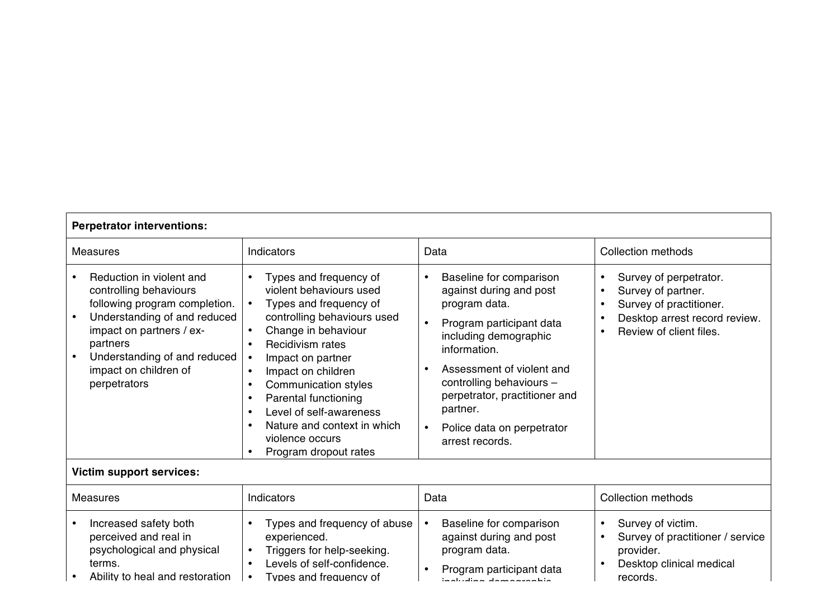| <b>Measures</b>                                                                                                                                                                                                                      | Indicators                                                                                                                                                                                                                                                                                                                                                                 | Data                                                                                                                                                                                                                                                                                                                                                | <b>Collection methods</b>                                                                                                           |  |  |
|--------------------------------------------------------------------------------------------------------------------------------------------------------------------------------------------------------------------------------------|----------------------------------------------------------------------------------------------------------------------------------------------------------------------------------------------------------------------------------------------------------------------------------------------------------------------------------------------------------------------------|-----------------------------------------------------------------------------------------------------------------------------------------------------------------------------------------------------------------------------------------------------------------------------------------------------------------------------------------------------|-------------------------------------------------------------------------------------------------------------------------------------|--|--|
| Reduction in violent and<br>controlling behaviours<br>following program completion.<br>Understanding of and reduced<br>impact on partners / ex-<br>partners<br>Understanding of and reduced<br>impact on children of<br>perpetrators | Types and frequency of<br>violent behaviours used<br>Types and frequency of<br>controlling behaviours used<br>Change in behaviour<br>Recidivism rates<br>Impact on partner<br>Impact on children<br>Communication styles<br><b>Parental functioning</b><br>Level of self-awareness<br>$\bullet$<br>Nature and context in which<br>violence occurs<br>Program dropout rates | Baseline for comparison<br>$\bullet$<br>against during and post<br>program data.<br>Program participant data<br>$\bullet$<br>including demographic<br>information.<br>Assessment of violent and<br>$\bullet$<br>controlling behaviours -<br>perpetrator, practitioner and<br>partner.<br>Police data on perpetrator<br>$\bullet$<br>arrest records. | Survey of perpetrator.<br>Survey of partner.<br>Survey of practitioner.<br>Desktop arrest record review.<br>Review of client files. |  |  |
| <b>Victim support services:</b>                                                                                                                                                                                                      |                                                                                                                                                                                                                                                                                                                                                                            |                                                                                                                                                                                                                                                                                                                                                     |                                                                                                                                     |  |  |
| <b>Measures</b>                                                                                                                                                                                                                      | Indicators                                                                                                                                                                                                                                                                                                                                                                 | Data                                                                                                                                                                                                                                                                                                                                                | <b>Collection methods</b>                                                                                                           |  |  |
| Increased safety both<br>perceived and real in<br>psychological and physical<br>terms.                                                                                                                                               | Types and frequency of abuse<br>experienced.<br>Triggers for help-seeking.<br>Levels of self-confidence.<br>$\bullet$                                                                                                                                                                                                                                                      | Baseline for comparison<br>$\bullet$<br>against during and post<br>program data.<br>Program participant data<br>$\bullet$                                                                                                                                                                                                                           | Survey of victim.<br>$\bullet$<br>Survey of practitioner / service<br>provider.<br>Desktop clinical medical                         |  |  |

• Ability to heal and restoration • Types and frequency of • Program participant data including demographic demographic.<br>.

records.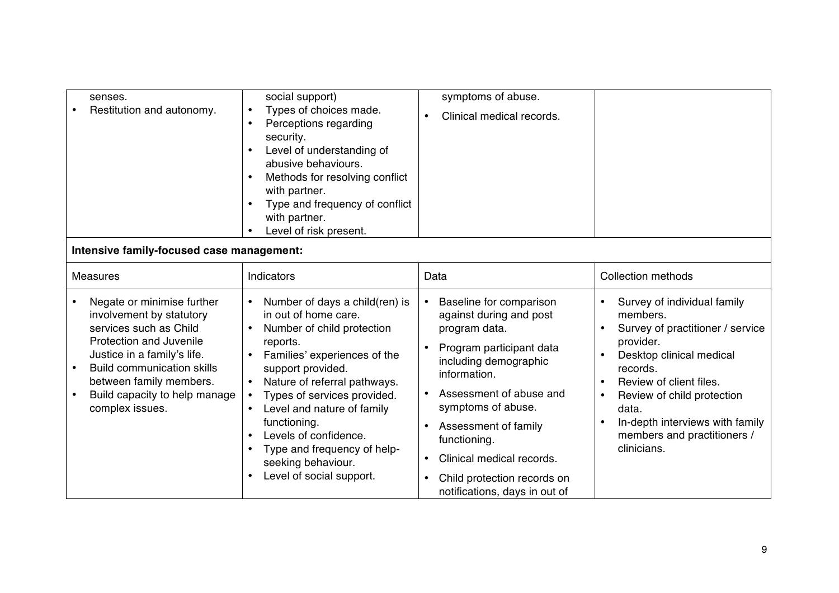| senses.<br>Restitution and autonomy.                                                                                                                                                                                                                           | social support)<br>Types of choices made.<br>Perceptions regarding<br>$\bullet$<br>security.<br>Level of understanding of<br>$\bullet$<br>abusive behaviours.<br>Methods for resolving conflict<br>$\bullet$<br>with partner.<br>Type and frequency of conflict<br>with partner.<br>Level of risk present.                                                                                             | symptoms of abuse.<br>Clinical medical records.<br>$\bullet$                                                                                                                                                                                                                                                                                                                                                 |                                                                                                                                                                                                                                                                                     |
|----------------------------------------------------------------------------------------------------------------------------------------------------------------------------------------------------------------------------------------------------------------|--------------------------------------------------------------------------------------------------------------------------------------------------------------------------------------------------------------------------------------------------------------------------------------------------------------------------------------------------------------------------------------------------------|--------------------------------------------------------------------------------------------------------------------------------------------------------------------------------------------------------------------------------------------------------------------------------------------------------------------------------------------------------------------------------------------------------------|-------------------------------------------------------------------------------------------------------------------------------------------------------------------------------------------------------------------------------------------------------------------------------------|
| Intensive family-focused case management:                                                                                                                                                                                                                      |                                                                                                                                                                                                                                                                                                                                                                                                        |                                                                                                                                                                                                                                                                                                                                                                                                              |                                                                                                                                                                                                                                                                                     |
| <b>Measures</b>                                                                                                                                                                                                                                                | Indicators                                                                                                                                                                                                                                                                                                                                                                                             | Data                                                                                                                                                                                                                                                                                                                                                                                                         | <b>Collection methods</b>                                                                                                                                                                                                                                                           |
| Negate or minimise further<br>involvement by statutory<br>services such as Child<br>Protection and Juvenile<br>Justice in a family's life.<br><b>Build communication skills</b><br>between family members.<br>Build capacity to help manage<br>complex issues. | Number of days a child(ren) is<br>in out of home care.<br>Number of child protection<br>reports.<br>Families' experiences of the<br>support provided.<br>Nature of referral pathways.<br>Types of services provided.<br>Level and nature of family<br>$\bullet$<br>functioning.<br>Levels of confidence.<br>Type and frequency of help-<br>seeking behaviour.<br>Level of social support.<br>$\bullet$ | $\bullet$<br>Baseline for comparison<br>against during and post<br>program data.<br>Program participant data<br>$\bullet$<br>including demographic<br>information.<br>Assessment of abuse and<br>$\bullet$<br>symptoms of abuse.<br>Assessment of family<br>$\bullet$<br>functioning.<br>Clinical medical records.<br>$\bullet$<br>Child protection records on<br>$\bullet$<br>notifications, days in out of | Survey of individual family<br>members.<br>Survey of practitioner / service<br>provider.<br>Desktop clinical medical<br>records.<br>Review of client files.<br>Review of child protection<br>data.<br>In-depth interviews with family<br>members and practitioners /<br>clinicians. |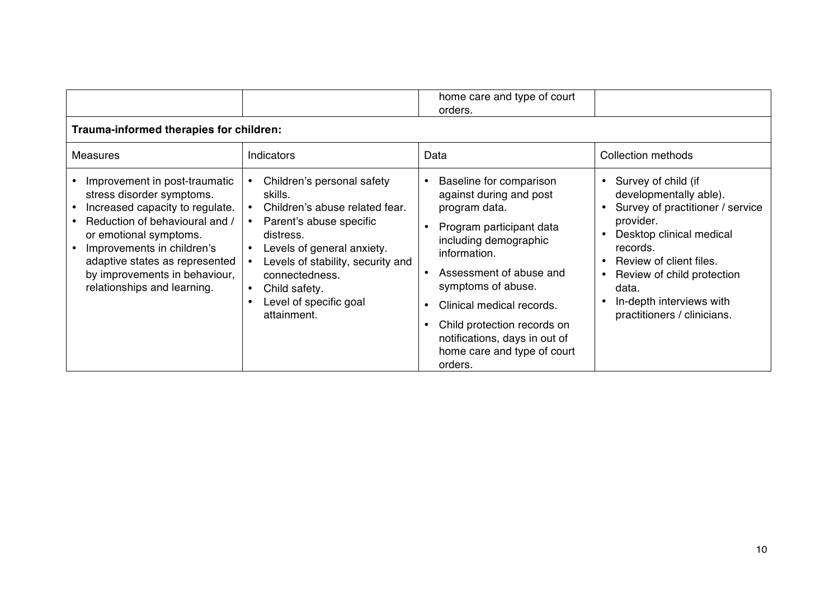|                                                                                                                                                                                                                                                                                           |                                                                                                                                                                                                                                                                                                       | home care and type of court<br>orders.                                                                                                                                                                                                                                                                                                        |                                                                                                                                                                                                                                                                                  |
|-------------------------------------------------------------------------------------------------------------------------------------------------------------------------------------------------------------------------------------------------------------------------------------------|-------------------------------------------------------------------------------------------------------------------------------------------------------------------------------------------------------------------------------------------------------------------------------------------------------|-----------------------------------------------------------------------------------------------------------------------------------------------------------------------------------------------------------------------------------------------------------------------------------------------------------------------------------------------|----------------------------------------------------------------------------------------------------------------------------------------------------------------------------------------------------------------------------------------------------------------------------------|
| Trauma-informed therapies for children:                                                                                                                                                                                                                                                   |                                                                                                                                                                                                                                                                                                       |                                                                                                                                                                                                                                                                                                                                               |                                                                                                                                                                                                                                                                                  |
| <b>Measures</b>                                                                                                                                                                                                                                                                           | <b>Indicators</b>                                                                                                                                                                                                                                                                                     | Data                                                                                                                                                                                                                                                                                                                                          | <b>Collection methods</b>                                                                                                                                                                                                                                                        |
| Improvement in post-traumatic<br>stress disorder symptoms.<br>Increased capacity to regulate.<br>Reduction of behavioural and /<br>or emotional symptoms.<br>Improvements in children's<br>adaptive states as represented<br>by improvements in behaviour,<br>relationships and learning. | Children's personal safety<br>skills.<br>Children's abuse related fear.<br>Parent's abuse specific<br>distress.<br>Levels of general anxiety.<br>$\bullet$<br>Levels of stability, security and<br>connectedness.<br>Child safety.<br>$\bullet$<br>Level of specific goal<br>$\bullet$<br>attainment. | Baseline for comparison<br>against during and post<br>program data.<br>Program participant data<br>including demographic<br>information.<br>Assessment of abuse and<br>$\bullet$<br>symptoms of abuse.<br>Clinical medical records.<br>Child protection records on<br>notifications, days in out of<br>home care and type of court<br>orders. | Survey of child (if<br>$\bullet$<br>developmentally able).<br>Survey of practitioner / service<br>provider.<br>Desktop clinical medical<br>records.<br>Review of client files.<br>Review of child protection<br>data.<br>In-depth interviews with<br>practitioners / clinicians. |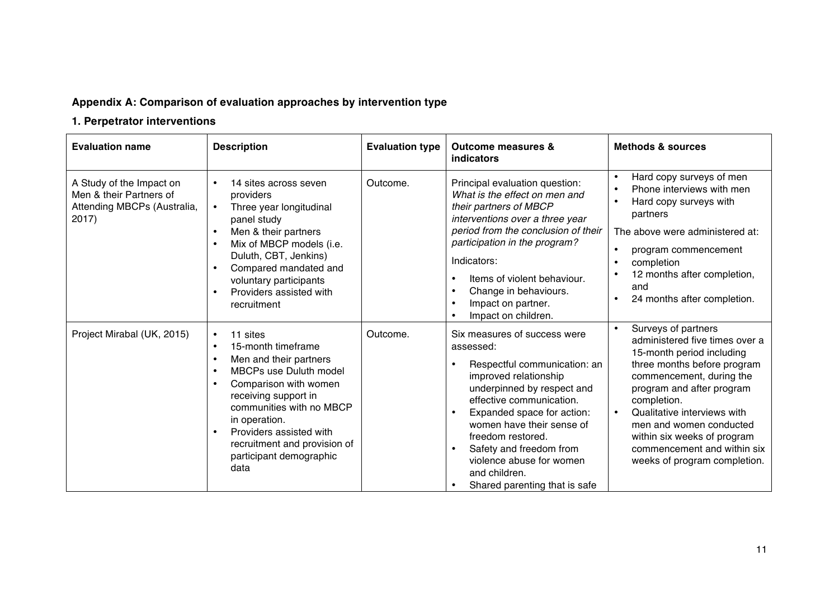# **Appendix A: Comparison of evaluation approaches by intervention type**

# **1. Perpetrator interventions**

| <b>Evaluation name</b>                                                                         | <b>Description</b>                                                                                                                                                                                                                                                                                 | <b>Evaluation type</b> | <b>Outcome measures &amp;</b><br><b>indicators</b>                                                                                                                                                                                                                                                                                                    | <b>Methods &amp; sources</b>                                                                                                                                                                                                                                                                                                                                                |
|------------------------------------------------------------------------------------------------|----------------------------------------------------------------------------------------------------------------------------------------------------------------------------------------------------------------------------------------------------------------------------------------------------|------------------------|-------------------------------------------------------------------------------------------------------------------------------------------------------------------------------------------------------------------------------------------------------------------------------------------------------------------------------------------------------|-----------------------------------------------------------------------------------------------------------------------------------------------------------------------------------------------------------------------------------------------------------------------------------------------------------------------------------------------------------------------------|
| A Study of the Impact on<br>Men & their Partners of<br>Attending MBCPs (Australia,<br>$2017$ ) | 14 sites across seven<br>$\bullet$<br>providers<br>Three year longitudinal<br>$\bullet$<br>panel study<br>Men & their partners<br>Mix of MBCP models (i.e.<br>Duluth, CBT, Jenkins)<br>Compared mandated and<br>voluntary participants<br>Providers assisted with<br>recruitment                   | Outcome.               | Principal evaluation question:<br>What is the effect on men and<br>their partners of MBCP<br>interventions over a three year<br>period from the conclusion of their<br>participation in the program?<br>Indicators:<br>Items of violent behaviour.<br>Change in behaviours.<br>Impact on partner.<br>Impact on children.                              | Hard copy surveys of men<br>$\bullet$<br>Phone interviews with men<br>$\bullet$<br>Hard copy surveys with<br>$\bullet$<br>partners<br>The above were administered at:<br>$\bullet$<br>program commencement<br>completion<br>$\bullet$<br>12 months after completion,<br>and<br>24 months after completion.<br>$\bullet$                                                     |
| Project Mirabal (UK, 2015)                                                                     | 11 sites<br>$\bullet$<br>15-month timeframe<br>Men and their partners<br><b>MBCPs use Duluth model</b><br>Comparison with women<br>receiving support in<br>communities with no MBCP<br>in operation.<br>Providers assisted with<br>recruitment and provision of<br>participant demographic<br>data | Outcome.               | Six measures of success were<br>assessed:<br>Respectful communication: an<br>improved relationship<br>underpinned by respect and<br>effective communication.<br>Expanded space for action:<br>women have their sense of<br>freedom restored.<br>Safety and freedom from<br>violence abuse for women<br>and children.<br>Shared parenting that is safe | Surveys of partners<br>$\bullet$<br>administered five times over a<br>15-month period including<br>three months before program<br>commencement, during the<br>program and after program<br>completion.<br>Qualitative interviews with<br>$\bullet$<br>men and women conducted<br>within six weeks of program<br>commencement and within six<br>weeks of program completion. |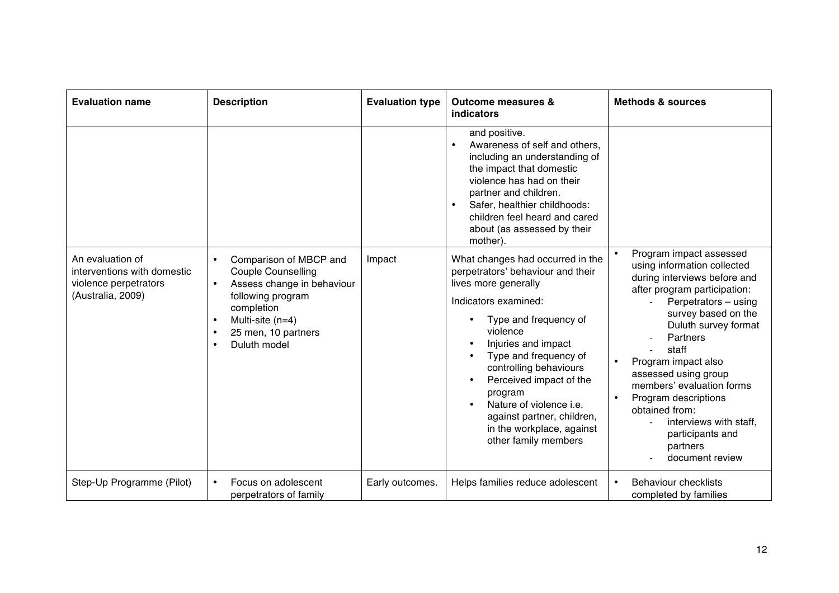| <b>Evaluation name</b>                                                                        | <b>Description</b>                                                                                                                                                                           | <b>Evaluation type</b> | <b>Outcome measures &amp;</b><br><b>indicators</b>                                                                                                                                                                                                                                                                                                                                       | <b>Methods &amp; sources</b>                                                                                                                                                                                                                                                                                                                                                                            |
|-----------------------------------------------------------------------------------------------|----------------------------------------------------------------------------------------------------------------------------------------------------------------------------------------------|------------------------|------------------------------------------------------------------------------------------------------------------------------------------------------------------------------------------------------------------------------------------------------------------------------------------------------------------------------------------------------------------------------------------|---------------------------------------------------------------------------------------------------------------------------------------------------------------------------------------------------------------------------------------------------------------------------------------------------------------------------------------------------------------------------------------------------------|
|                                                                                               |                                                                                                                                                                                              |                        | and positive.<br>Awareness of self and others,<br>including an understanding of<br>the impact that domestic<br>violence has had on their<br>partner and children.<br>Safer, healthier childhoods:<br>children feel heard and cared<br>about (as assessed by their<br>mother).                                                                                                            | Program impact assessed                                                                                                                                                                                                                                                                                                                                                                                 |
| An evaluation of<br>interventions with domestic<br>violence perpetrators<br>(Australia, 2009) | Comparison of MBCP and<br><b>Couple Counselling</b><br>Assess change in behaviour<br>$\bullet$<br>following program<br>completion<br>Multi-site (n=4)<br>25 men, 10 partners<br>Duluth model | Impact                 | What changes had occurred in the<br>perpetrators' behaviour and their<br>lives more generally<br>Indicators examined:<br>Type and frequency of<br>violence<br>Injuries and impact<br>Type and frequency of<br>controlling behaviours<br>Perceived impact of the<br>program<br>Nature of violence i.e.<br>against partner, children,<br>in the workplace, against<br>other family members | using information collected<br>during interviews before and<br>after program participation:<br>Perpetrators - using<br>survey based on the<br>Duluth survey format<br>Partners<br>staff<br>Program impact also<br>$\bullet$<br>assessed using group<br>members' evaluation forms<br>Program descriptions<br>obtained from:<br>interviews with staff,<br>participants and<br>partners<br>document review |
| Step-Up Programme (Pilot)                                                                     | Focus on adolescent<br>$\bullet$<br>perpetrators of family                                                                                                                                   | Early outcomes.        | Helps families reduce adolescent                                                                                                                                                                                                                                                                                                                                                         | <b>Behaviour checklists</b><br>$\bullet$<br>completed by families                                                                                                                                                                                                                                                                                                                                       |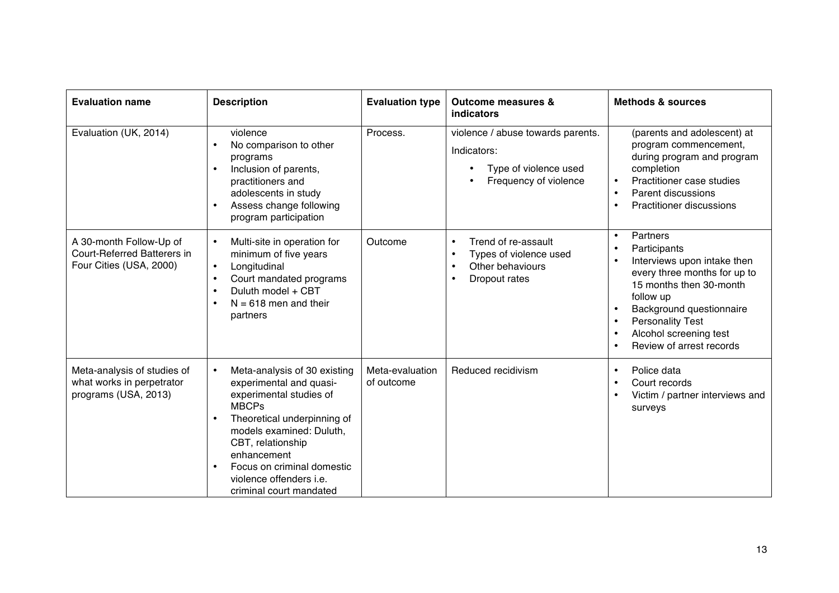| <b>Evaluation name</b>                                                            | <b>Description</b>                                                                                                                                                                                                                                                                                 | <b>Evaluation type</b>        | <b>Outcome measures &amp;</b><br><b>indicators</b>                                                 | <b>Methods &amp; sources</b>                                                                                                                                                                                                                                                                     |
|-----------------------------------------------------------------------------------|----------------------------------------------------------------------------------------------------------------------------------------------------------------------------------------------------------------------------------------------------------------------------------------------------|-------------------------------|----------------------------------------------------------------------------------------------------|--------------------------------------------------------------------------------------------------------------------------------------------------------------------------------------------------------------------------------------------------------------------------------------------------|
| Evaluation (UK, 2014)                                                             | violence<br>No comparison to other<br>programs<br>Inclusion of parents,<br>practitioners and<br>adolescents in study<br>Assess change following<br>$\bullet$<br>program participation                                                                                                              | Process.                      | violence / abuse towards parents.<br>Indicators:<br>Type of violence used<br>Frequency of violence | (parents and adolescent) at<br>program commencement,<br>during program and program<br>completion<br>Practitioner case studies<br>$\bullet$<br>Parent discussions<br>$\bullet$<br><b>Practitioner discussions</b><br>$\bullet$                                                                    |
| A 30-month Follow-Up of<br>Court-Referred Batterers in<br>Four Cities (USA, 2000) | Multi-site in operation for<br>$\bullet$<br>minimum of five years<br>Longitudinal<br>$\bullet$<br>Court mandated programs<br>Duluth model + CBT<br>$N = 618$ men and their<br>partners                                                                                                             | Outcome                       | Trend of re-assault<br>Types of violence used<br>Other behaviours<br>$\bullet$<br>Dropout rates    | Partners<br>$\bullet$<br>Participants<br>$\bullet$<br>Interviews upon intake then<br>$\bullet$<br>every three months for up to<br>15 months then 30-month<br>follow up<br>Background questionnaire<br>$\bullet$<br><b>Personality Test</b><br>Alcohol screening test<br>Review of arrest records |
| Meta-analysis of studies of<br>what works in perpetrator<br>programs (USA, 2013)  | Meta-analysis of 30 existing<br>$\bullet$<br>experimental and quasi-<br>experimental studies of<br><b>MBCPs</b><br>Theoretical underpinning of<br>models examined: Duluth,<br>CBT, relationship<br>enhancement<br>Focus on criminal domestic<br>violence offenders i.e.<br>criminal court mandated | Meta-evaluation<br>of outcome | Reduced recidivism                                                                                 | Police data<br>$\bullet$<br>Court records<br>$\bullet$<br>Victim / partner interviews and<br>$\bullet$<br>surveys                                                                                                                                                                                |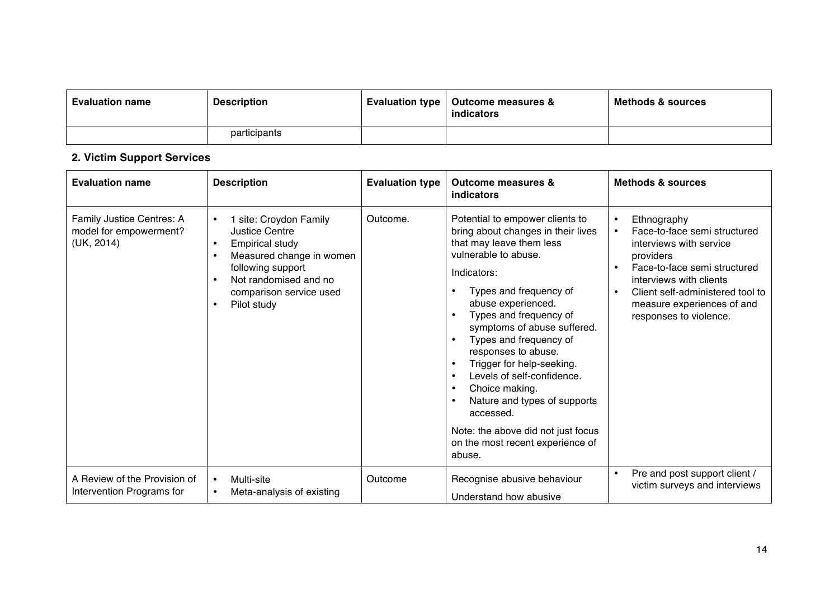| <b>Evaluation name</b> | <b>Description</b> | Evaluation type   Outcome measures &<br>indicators | <b>Methods &amp; sources</b> |
|------------------------|--------------------|----------------------------------------------------|------------------------------|
|                        | participants       |                                                    |                              |

# **2. Victim Support Services**

| <b>Evaluation name</b>                                            | <b>Description</b>                                                                                                                                                                                         | <b>Evaluation type</b> | <b>Outcome measures &amp;</b><br>indicators                                                                                                                                                                                                                                                                                                                                                                                                                                                                      | <b>Methods &amp; sources</b>                                                                                                                                                                                                                                                                   |
|-------------------------------------------------------------------|------------------------------------------------------------------------------------------------------------------------------------------------------------------------------------------------------------|------------------------|------------------------------------------------------------------------------------------------------------------------------------------------------------------------------------------------------------------------------------------------------------------------------------------------------------------------------------------------------------------------------------------------------------------------------------------------------------------------------------------------------------------|------------------------------------------------------------------------------------------------------------------------------------------------------------------------------------------------------------------------------------------------------------------------------------------------|
| Family Justice Centres: A<br>model for empowerment?<br>(UK, 2014) | 1 site: Croydon Family<br><b>Justice Centre</b><br><b>Empirical study</b><br>$\bullet$<br>Measured change in women<br>following support<br>Not randomised and no<br>comparison service used<br>Pilot study | Outcome.               | Potential to empower clients to<br>bring about changes in their lives<br>that may leave them less<br>vulnerable to abuse.<br>Indicators:<br>Types and frequency of<br>abuse experienced.<br>Types and frequency of<br>symptoms of abuse suffered.<br>Types and frequency of<br>responses to abuse.<br>Trigger for help-seeking.<br>Levels of self-confidence.<br>Choice making.<br>Nature and types of supports<br>accessed.<br>Note: the above did not just focus<br>on the most recent experience of<br>abuse. | Ethnography<br>$\bullet$<br>$\bullet$<br>Face-to-face semi structured<br>interviews with service<br>providers<br>Face-to-face semi structured<br>$\bullet$<br>interviews with clients<br>Client self-administered tool to<br>$\bullet$<br>measure experiences of and<br>responses to violence. |
| A Review of the Provision of<br>Intervention Programs for         | Multi-site<br>Meta-analysis of existing                                                                                                                                                                    | Outcome                | Recognise abusive behaviour<br>Understand how abusive                                                                                                                                                                                                                                                                                                                                                                                                                                                            | Pre and post support client /<br>٠<br>victim surveys and interviews                                                                                                                                                                                                                            |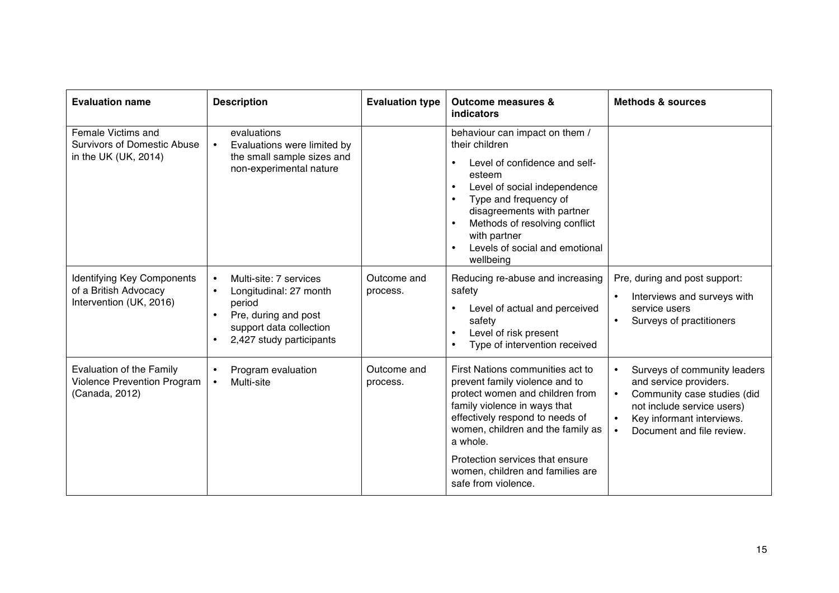| <b>Evaluation name</b>                                                                  | <b>Description</b>                                                                                                                                     | <b>Evaluation type</b>  | <b>Outcome measures &amp;</b><br><b>indicators</b>                                                                                                                                                                                                                                                           | <b>Methods &amp; sources</b>                                                                                                                                                                                                      |
|-----------------------------------------------------------------------------------------|--------------------------------------------------------------------------------------------------------------------------------------------------------|-------------------------|--------------------------------------------------------------------------------------------------------------------------------------------------------------------------------------------------------------------------------------------------------------------------------------------------------------|-----------------------------------------------------------------------------------------------------------------------------------------------------------------------------------------------------------------------------------|
| <b>Female Victims and</b><br><b>Survivors of Domestic Abuse</b><br>in the UK (UK, 2014) | evaluations<br>Evaluations were limited by<br>$\bullet$<br>the small sample sizes and<br>non-experimental nature                                       |                         | behaviour can impact on them /<br>their children<br>Level of confidence and self-<br>$\bullet$<br>esteem<br>Level of social independence<br>$\bullet$<br>Type and frequency of<br>disagreements with partner<br>Methods of resolving conflict<br>with partner<br>Levels of social and emotional<br>wellbeing |                                                                                                                                                                                                                                   |
| <b>Identifying Key Components</b><br>of a British Advocacy<br>Intervention (UK, 2016)   | Multi-site: 7 services<br>Longitudinal: 27 month<br>$\bullet$<br>period<br>Pre, during and post<br>support data collection<br>2,427 study participants | Outcome and<br>process. | Reducing re-abuse and increasing<br>safety<br>Level of actual and perceived<br>$\bullet$<br>safety<br>Level of risk present<br>Type of intervention received                                                                                                                                                 | Pre, during and post support:<br>Interviews and surveys with<br>$\bullet$<br>service users<br>Surveys of practitioners                                                                                                            |
| <b>Evaluation of the Family</b><br><b>Violence Prevention Program</b><br>(Canada, 2012) | Program evaluation<br>Multi-site<br>$\bullet$                                                                                                          | Outcome and<br>process. | First Nations communities act to<br>prevent family violence and to<br>protect women and children from<br>family violence in ways that<br>effectively respond to needs of<br>women, children and the family as<br>a whole.                                                                                    | Surveys of community leaders<br>$\bullet$<br>and service providers.<br>Community case studies (did<br>$\bullet$<br>not include service users)<br>Key informant interviews.<br>$\bullet$<br>Document and file review.<br>$\bullet$ |
|                                                                                         |                                                                                                                                                        |                         | Protection services that ensure<br>women, children and families are<br>safe from violence.                                                                                                                                                                                                                   |                                                                                                                                                                                                                                   |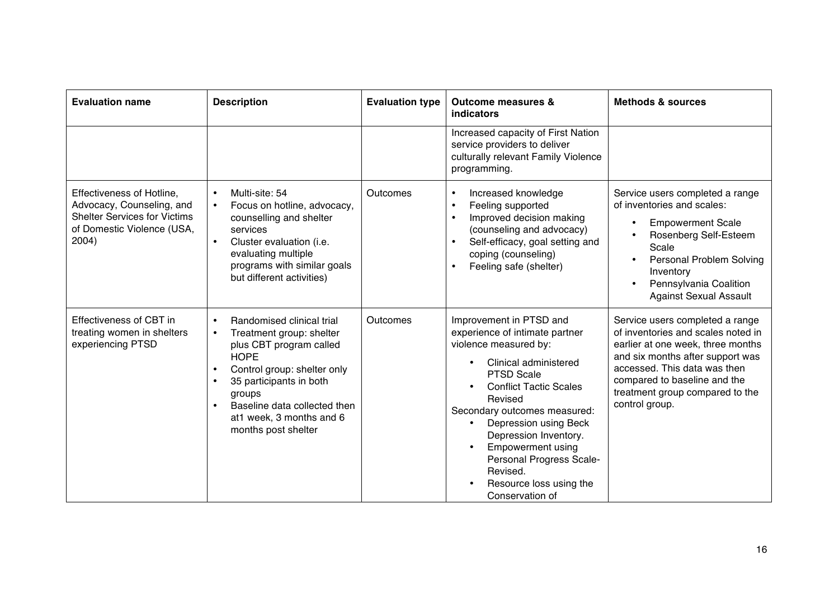| <b>Evaluation name</b>                                                                                                               | <b>Description</b>                                                                                                                                                                                                                                                  | <b>Evaluation type</b> | <b>Outcome measures &amp;</b><br>indicators                                                                                                                                                                                                                                                                                                                                      | <b>Methods &amp; sources</b>                                                                                                                                                                                                                                        |
|--------------------------------------------------------------------------------------------------------------------------------------|---------------------------------------------------------------------------------------------------------------------------------------------------------------------------------------------------------------------------------------------------------------------|------------------------|----------------------------------------------------------------------------------------------------------------------------------------------------------------------------------------------------------------------------------------------------------------------------------------------------------------------------------------------------------------------------------|---------------------------------------------------------------------------------------------------------------------------------------------------------------------------------------------------------------------------------------------------------------------|
|                                                                                                                                      |                                                                                                                                                                                                                                                                     |                        | Increased capacity of First Nation<br>service providers to deliver<br>culturally relevant Family Violence<br>programming.                                                                                                                                                                                                                                                        |                                                                                                                                                                                                                                                                     |
| Effectiveness of Hotline,<br>Advocacy, Counseling, and<br><b>Shelter Services for Victims</b><br>of Domestic Violence (USA,<br>2004) | Multi-site: 54<br>Focus on hotline, advocacy,<br>counselling and shelter<br>services<br>Cluster evaluation (i.e.<br>evaluating multiple<br>programs with similar goals<br>but different activities)                                                                 | Outcomes               | Increased knowledge<br>$\bullet$<br>Feeling supported<br>$\bullet$<br>Improved decision making<br>(counseling and advocacy)<br>Self-efficacy, goal setting and<br>coping (counseling)<br>Feeling safe (shelter)<br>$\bullet$                                                                                                                                                     | Service users completed a range<br>of inventories and scales:<br><b>Empowerment Scale</b><br>$\bullet$<br>Rosenberg Self-Esteem<br>Scale<br><b>Personal Problem Solving</b><br>Inventory<br>Pennsylvania Coalition<br>$\bullet$<br><b>Against Sexual Assault</b>    |
| Effectiveness of CBT in<br>treating women in shelters<br>experiencing PTSD                                                           | Randomised clinical trial<br>Treatment group: shelter<br>$\bullet$<br>plus CBT program called<br><b>HOPE</b><br>Control group: shelter only<br>35 participants in both<br>groups<br>Baseline data collected then<br>at1 week, 3 months and 6<br>months post shelter | Outcomes               | Improvement in PTSD and<br>experience of intimate partner<br>violence measured by:<br>Clinical administered<br><b>PTSD Scale</b><br><b>Conflict Tactic Scales</b><br>Revised<br>Secondary outcomes measured:<br>Depression using Beck<br>Depression Inventory.<br><b>Empowerment using</b><br>Personal Progress Scale-<br>Revised.<br>Resource loss using the<br>Conservation of | Service users completed a range<br>of inventories and scales noted in<br>earlier at one week, three months<br>and six months after support was<br>accessed. This data was then<br>compared to baseline and the<br>treatment group compared to the<br>control group. |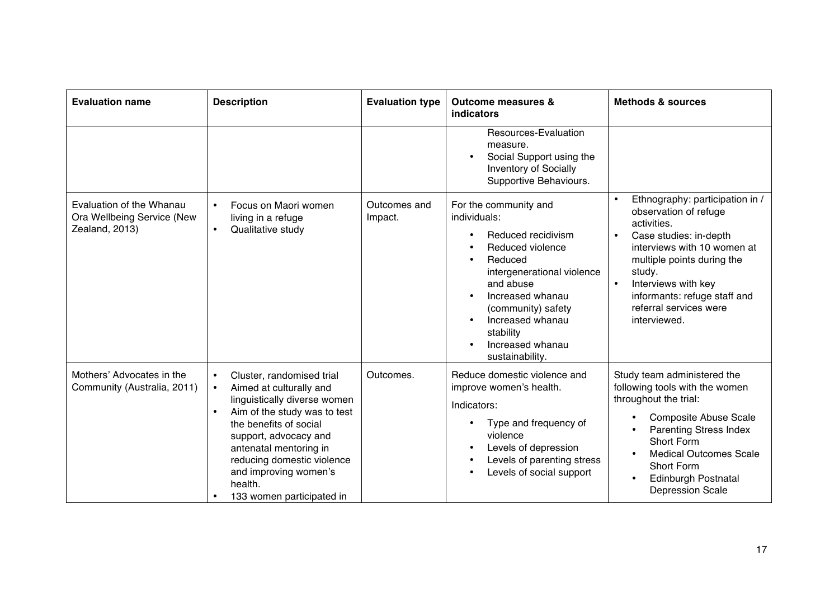| <b>Evaluation name</b>                                                   | <b>Description</b>                                                                                                                                                                                                                                                                                                                      | <b>Evaluation type</b>  | <b>Outcome measures &amp;</b><br>indicators                                                                                                                                                                                                             | <b>Methods &amp; sources</b>                                                                                                                                                                                                                                                                                     |
|--------------------------------------------------------------------------|-----------------------------------------------------------------------------------------------------------------------------------------------------------------------------------------------------------------------------------------------------------------------------------------------------------------------------------------|-------------------------|---------------------------------------------------------------------------------------------------------------------------------------------------------------------------------------------------------------------------------------------------------|------------------------------------------------------------------------------------------------------------------------------------------------------------------------------------------------------------------------------------------------------------------------------------------------------------------|
|                                                                          |                                                                                                                                                                                                                                                                                                                                         |                         | Resources-Evaluation<br>measure.<br>Social Support using the<br><b>Inventory of Socially</b><br>Supportive Behaviours.                                                                                                                                  |                                                                                                                                                                                                                                                                                                                  |
| Evaluation of the Whanau<br>Ora Wellbeing Service (New<br>Zealand, 2013) | Focus on Maori women<br>living in a refuge<br>Qualitative study<br>$\bullet$                                                                                                                                                                                                                                                            | Outcomes and<br>Impact. | For the community and<br>individuals:<br>Reduced recidivism<br>Reduced violence<br>Reduced<br>intergenerational violence<br>and abuse<br>Increased whanau<br>(community) safety<br>Increased whanau<br>stability<br>Increased whanau<br>sustainability. | Ethnography: participation in /<br>$\bullet$<br>observation of refuge<br>activities.<br>Case studies: in-depth<br>$\bullet$<br>interviews with 10 women at<br>multiple points during the<br>study.<br>Interviews with key<br>$\bullet$<br>informants: refuge staff and<br>referral services were<br>interviewed. |
| Mothers' Advocates in the<br>Community (Australia, 2011)                 | Cluster, randomised trial<br>$\bullet$<br>Aimed at culturally and<br>$\bullet$<br>linguistically diverse women<br>Aim of the study was to test<br>$\bullet$<br>the benefits of social<br>support, advocacy and<br>antenatal mentoring in<br>reducing domestic violence<br>and improving women's<br>health.<br>133 women participated in | Outcomes.               | Reduce domestic violence and<br>improve women's health.<br>Indicators:<br>Type and frequency of<br>violence<br>Levels of depression<br>Levels of parenting stress<br>Levels of social support                                                           | Study team administered the<br>following tools with the women<br>throughout the trial:<br><b>Composite Abuse Scale</b><br><b>Parenting Stress Index</b><br>Short Form<br><b>Medical Outcomes Scale</b><br>Short Form<br><b>Edinburgh Postnatal</b><br><b>Depression Scale</b>                                    |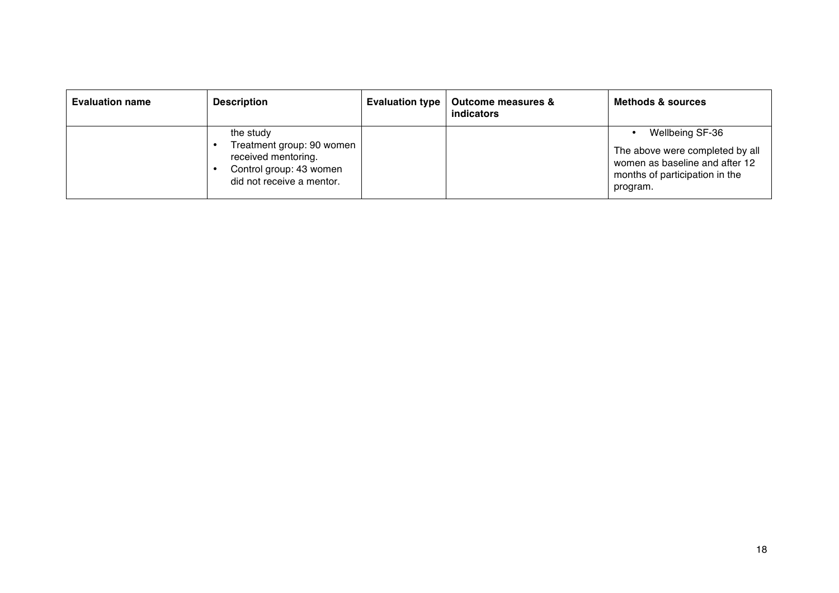| <b>Evaluation name</b> | <b>Description</b>                                                                                                    | <b>Evaluation type</b> | <b>Outcome measures &amp;</b><br>indicators | <b>Methods &amp; sources</b>                                                                                                       |
|------------------------|-----------------------------------------------------------------------------------------------------------------------|------------------------|---------------------------------------------|------------------------------------------------------------------------------------------------------------------------------------|
|                        | the study<br>Treatment group: 90 women<br>received mentoring.<br>Control group: 43 women<br>did not receive a mentor. |                        |                                             | Wellbeing SF-36<br>The above were completed by all<br>women as baseline and after 12<br>months of participation in the<br>program. |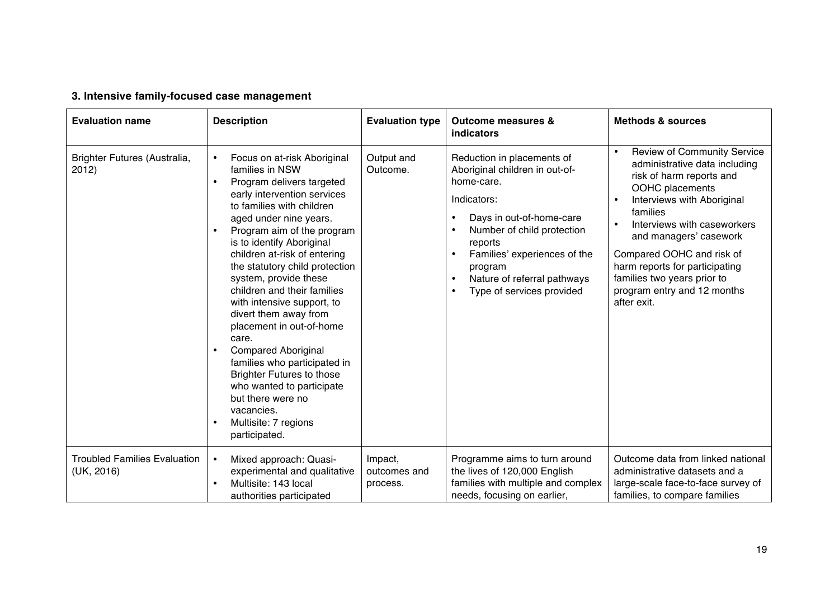# **3. Intensive family-focused case management**

| <b>Evaluation name</b>                            | <b>Description</b>                                                                                                                                                                                                                                                                                                                                                                                                                                                                                                                                                                                                                                                         | <b>Evaluation type</b>              | <b>Outcome measures &amp;</b><br>indicators                                                                                                                                                                                                                           | <b>Methods &amp; sources</b>                                                                                                                                                                                                                                                                                                                                                                             |
|---------------------------------------------------|----------------------------------------------------------------------------------------------------------------------------------------------------------------------------------------------------------------------------------------------------------------------------------------------------------------------------------------------------------------------------------------------------------------------------------------------------------------------------------------------------------------------------------------------------------------------------------------------------------------------------------------------------------------------------|-------------------------------------|-----------------------------------------------------------------------------------------------------------------------------------------------------------------------------------------------------------------------------------------------------------------------|----------------------------------------------------------------------------------------------------------------------------------------------------------------------------------------------------------------------------------------------------------------------------------------------------------------------------------------------------------------------------------------------------------|
| Brighter Futures (Australia,<br>2012)             | Focus on at-risk Aboriginal<br>$\bullet$<br>families in NSW<br>Program delivers targeted<br>early intervention services<br>to families with children<br>aged under nine years.<br>Program aim of the program<br>is to identify Aboriginal<br>children at-risk of entering<br>the statutory child protection<br>system, provide these<br>children and their families<br>with intensive support, to<br>divert them away from<br>placement in out-of-home<br>care.<br><b>Compared Aboriginal</b><br>families who participated in<br><b>Brighter Futures to those</b><br>who wanted to participate<br>but there were no<br>vacancies.<br>Multisite: 7 regions<br>participated. | Output and<br>Outcome.              | Reduction in placements of<br>Aboriginal children in out-of-<br>home-care.<br>Indicators:<br>Days in out-of-home-care<br>Number of child protection<br>reports<br>Families' experiences of the<br>program<br>Nature of referral pathways<br>Type of services provided | <b>Review of Community Service</b><br>$\bullet$<br>administrative data including<br>risk of harm reports and<br>OOHC placements<br>Interviews with Aboriginal<br>$\bullet$<br>families<br>Interviews with caseworkers<br>$\bullet$<br>and managers' casework<br>Compared OOHC and risk of<br>harm reports for participating<br>families two years prior to<br>program entry and 12 months<br>after exit. |
| <b>Troubled Families Evaluation</b><br>(UK, 2016) | Mixed approach: Quasi-<br>$\bullet$<br>experimental and qualitative<br>Multisite: 143 local<br>authorities participated                                                                                                                                                                                                                                                                                                                                                                                                                                                                                                                                                    | Impact,<br>outcomes and<br>process. | Programme aims to turn around<br>the lives of 120,000 English<br>families with multiple and complex<br>needs, focusing on earlier,                                                                                                                                    | Outcome data from linked national<br>administrative datasets and a<br>large-scale face-to-face survey of<br>families, to compare families                                                                                                                                                                                                                                                                |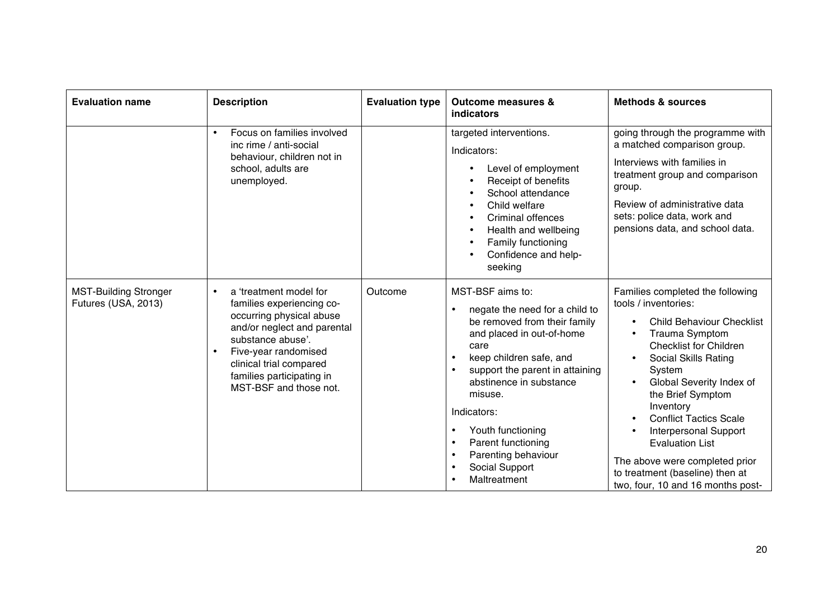| <b>Evaluation name</b>                              | <b>Description</b>                                                                                                                                                                                                                                         | <b>Evaluation type</b> | <b>Outcome measures &amp;</b><br>indicators                                                                                                                                                                                                                                                                                                                 | <b>Methods &amp; sources</b>                                                                                                                                                                                                                                                                                                                                                                                                                                             |
|-----------------------------------------------------|------------------------------------------------------------------------------------------------------------------------------------------------------------------------------------------------------------------------------------------------------------|------------------------|-------------------------------------------------------------------------------------------------------------------------------------------------------------------------------------------------------------------------------------------------------------------------------------------------------------------------------------------------------------|--------------------------------------------------------------------------------------------------------------------------------------------------------------------------------------------------------------------------------------------------------------------------------------------------------------------------------------------------------------------------------------------------------------------------------------------------------------------------|
|                                                     | Focus on families involved<br>$\bullet$<br>inc rime / anti-social<br>behaviour, children not in<br>school, adults are<br>unemployed.                                                                                                                       |                        | targeted interventions.<br>Indicators:<br>Level of employment<br>Receipt of benefits<br>School attendance<br>Child welfare<br><b>Criminal offences</b><br>Health and wellbeing<br>Family functioning<br>Confidence and help-<br>seeking                                                                                                                     | going through the programme with<br>a matched comparison group.<br>Interviews with families in<br>treatment group and comparison<br>group.<br>Review of administrative data<br>sets: police data, work and<br>pensions data, and school data.                                                                                                                                                                                                                            |
| <b>MST-Building Stronger</b><br>Futures (USA, 2013) | a 'treatment model for<br>$\bullet$<br>families experiencing co-<br>occurring physical abuse<br>and/or neglect and parental<br>substance abuse'.<br>Five-year randomised<br>clinical trial compared<br>families participating in<br>MST-BSF and those not. | Outcome                | MST-BSF aims to:<br>negate the need for a child to<br>be removed from their family<br>and placed in out-of-home<br>care<br>keep children safe, and<br>support the parent in attaining<br>abstinence in substance<br>misuse.<br>Indicators:<br>Youth functioning<br>Parent functioning<br>$\bullet$<br>Parenting behaviour<br>Social Support<br>Maltreatment | Families completed the following<br>tools / inventories:<br><b>Child Behaviour Checklist</b><br><b>Trauma Symptom</b><br>$\bullet$<br><b>Checklist for Children</b><br>Social Skills Rating<br>System<br>Global Severity Index of<br>the Brief Symptom<br>Inventory<br><b>Conflict Tactics Scale</b><br><b>Interpersonal Support</b><br><b>Evaluation List</b><br>The above were completed prior<br>to treatment (baseline) then at<br>two, four, 10 and 16 months post- |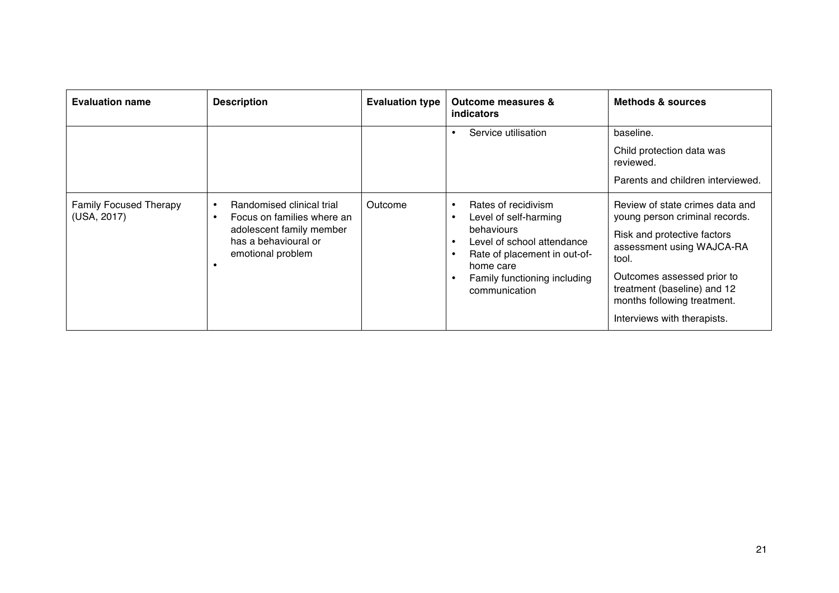| <b>Evaluation name</b>                       | <b>Description</b>                                                                                                                            | <b>Evaluation type</b> | <b>Outcome measures &amp;</b><br>indicators                                                                                                                                                                      | <b>Methods &amp; sources</b>                                                                                                                                                                                                                                      |
|----------------------------------------------|-----------------------------------------------------------------------------------------------------------------------------------------------|------------------------|------------------------------------------------------------------------------------------------------------------------------------------------------------------------------------------------------------------|-------------------------------------------------------------------------------------------------------------------------------------------------------------------------------------------------------------------------------------------------------------------|
|                                              |                                                                                                                                               |                        | Service utilisation<br>$\bullet$                                                                                                                                                                                 | baseline.<br>Child protection data was<br>reviewed.<br>Parents and children interviewed.                                                                                                                                                                          |
| <b>Family Focused Therapy</b><br>(USA, 2017) | Randomised clinical trial<br>Focus on families where an<br>$\bullet$<br>adolescent family member<br>has a behavioural or<br>emotional problem | Outcome                | Rates of recidivism<br>$\bullet$<br>Level of self-harming<br>$\bullet$<br>behaviours<br>Level of school attendance<br>Rate of placement in out-of-<br>home care<br>Family functioning including<br>communication | Review of state crimes data and<br>young person criminal records.<br>Risk and protective factors<br>assessment using WAJCA-RA<br>tool.<br>Outcomes assessed prior to<br>treatment (baseline) and 12<br>months following treatment.<br>Interviews with therapists. |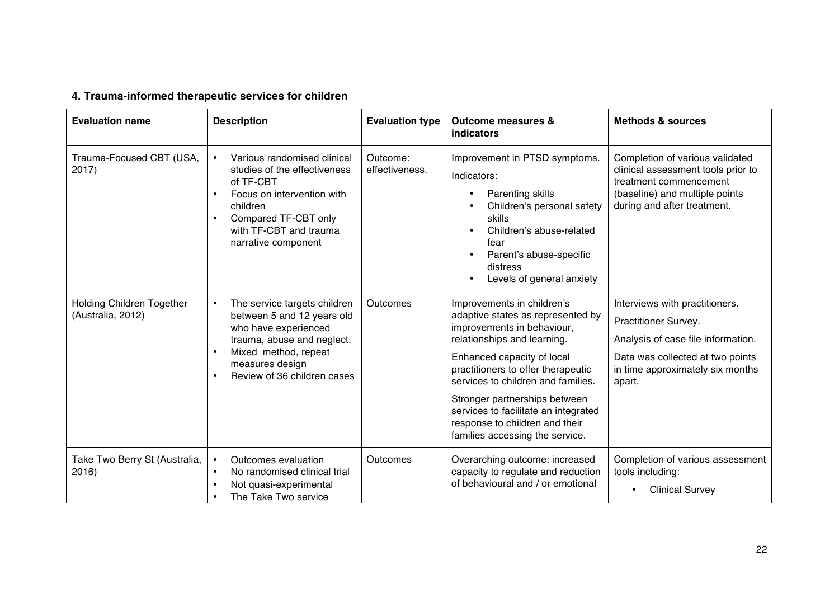# **4. Trauma-informed therapeutic services for children**

| <b>Evaluation name</b>                         | <b>Description</b>                                                                                                                                                                                      | <b>Evaluation type</b>     | <b>Outcome measures &amp;</b><br>indicators                                                                                                                                                                                                                                                                                                                                          | <b>Methods &amp; sources</b>                                                                                                                                                   |
|------------------------------------------------|---------------------------------------------------------------------------------------------------------------------------------------------------------------------------------------------------------|----------------------------|--------------------------------------------------------------------------------------------------------------------------------------------------------------------------------------------------------------------------------------------------------------------------------------------------------------------------------------------------------------------------------------|--------------------------------------------------------------------------------------------------------------------------------------------------------------------------------|
| Trauma-Focused CBT (USA,<br>2017)              | Various randomised clinical<br>studies of the effectiveness<br>of TF-CBT<br>Focus on intervention with<br>children<br>Compared TF-CBT only<br>with TF-CBT and trauma<br>narrative component             | Outcome:<br>effectiveness. | Improvement in PTSD symptoms.<br>Indicators:<br>Parenting skills<br>Children's personal safety<br>skills<br>Children's abuse-related<br>fear<br>Parent's abuse-specific<br>distress<br>Levels of general anxiety                                                                                                                                                                     | Completion of various validated<br>clinical assessment tools prior to<br>treatment commencement<br>(baseline) and multiple points<br>during and after treatment.               |
| Holding Children Together<br>(Australia, 2012) | The service targets children<br>$\bullet$<br>between 5 and 12 years old<br>who have experienced<br>trauma, abuse and neglect.<br>Mixed method, repeat<br>measures design<br>Review of 36 children cases | Outcomes                   | Improvements in children's<br>adaptive states as represented by<br>improvements in behaviour,<br>relationships and learning.<br>Enhanced capacity of local<br>practitioners to offer therapeutic<br>services to children and families.<br>Stronger partnerships between<br>services to facilitate an integrated<br>response to children and their<br>families accessing the service. | Interviews with practitioners.<br>Practitioner Survey.<br>Analysis of case file information.<br>Data was collected at two points<br>in time approximately six months<br>apart. |
| Take Two Berry St (Australia,<br>2016)         | Outcomes evaluation<br>$\bullet$<br>No randomised clinical trial<br>Not quasi-experimental<br>The Take Two service                                                                                      | Outcomes                   | Overarching outcome: increased<br>capacity to regulate and reduction<br>of behavioural and / or emotional                                                                                                                                                                                                                                                                            | Completion of various assessment<br>tools including:<br><b>Clinical Survey</b>                                                                                                 |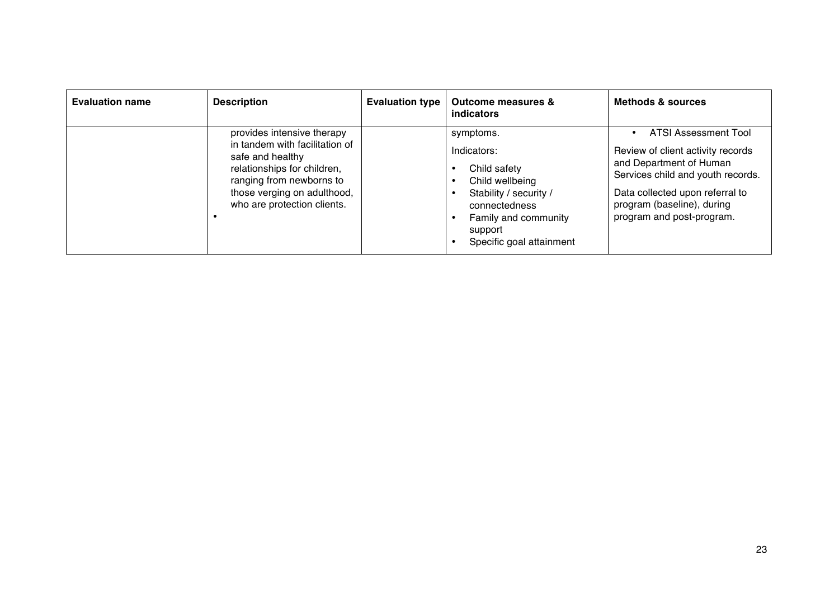| <b>Evaluation name</b> | <b>Description</b>                                                                                                                                                                                        | <b>Evaluation type</b> | <b>Outcome measures &amp;</b><br>indicators                                                                                                                           | <b>Methods &amp; sources</b>                                                                                                                                                                                            |
|------------------------|-----------------------------------------------------------------------------------------------------------------------------------------------------------------------------------------------------------|------------------------|-----------------------------------------------------------------------------------------------------------------------------------------------------------------------|-------------------------------------------------------------------------------------------------------------------------------------------------------------------------------------------------------------------------|
|                        | provides intensive therapy<br>in tandem with facilitation of<br>safe and healthy<br>relationships for children,<br>ranging from newborns to<br>those verging on adulthood,<br>who are protection clients. |                        | symptoms.<br>Indicators:<br>Child safety<br>Child wellbeing<br>Stability / security /<br>connectedness<br>Family and community<br>support<br>Specific goal attainment | ATSI Assessment Tool<br>Review of client activity records<br>and Department of Human<br>Services child and youth records.<br>Data collected upon referral to<br>program (baseline), during<br>program and post-program. |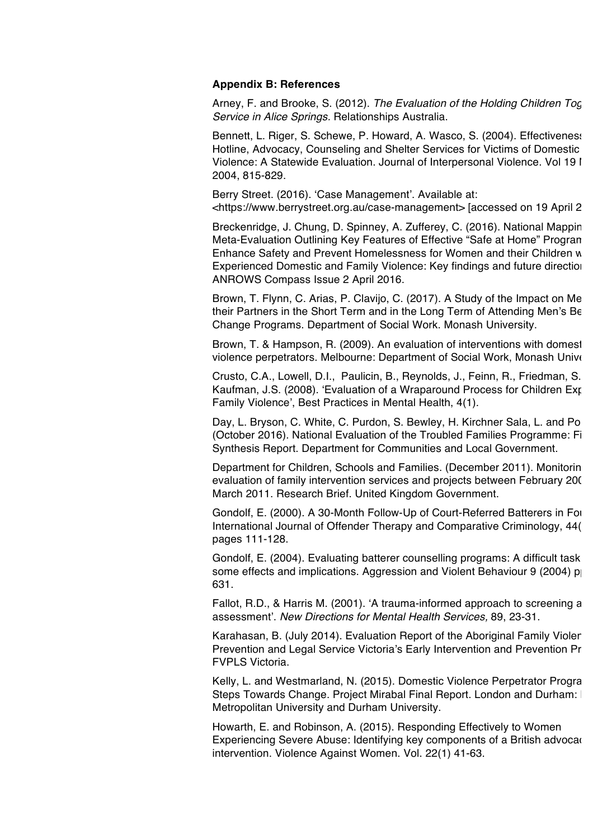#### **Appendix B: References**

Arney, F. and Brooke, S. (2012). *The Evaluation of the Holding Children Tog Service in Alice Springs.* Relationships Australia.

Bennett, L. Riger, S. Schewe, P. Howard, A. Wasco, S. (2004). Effectiveness Hotline, Advocacy, Counseling and Shelter Services for Victims of Domestic Violence: A Statewide Evaluation. Journal of Interpersonal Violence. Vol 19 I 2004, 815-829.

Berry Street. (2016). 'Case Management'. Available at:

<https://www.berrystreet.org.au/case-management> [accessed on 19 April 2

Breckenridge, J. Chung, D. Spinney, A. Zufferey, C. (2016). National Mappin Meta-Evaluation Outlining Key Features of Effective "Safe at Home" Progran Enhance Safety and Prevent Homelessness for Women and their Children w Experienced Domestic and Family Violence: Key findings and future direction ANROWS Compass Issue 2 April 2016.

Brown, T. Flynn, C. Arias, P. Clavijo, C. (2017). A Study of the Impact on Me their Partners in the Short Term and in the Long Term of Attending Men's Be Change Programs. Department of Social Work. Monash University.

Brown, T. & Hampson, R. (2009). An evaluation of interventions with domest violence perpetrators. Melbourne: Department of Social Work, Monash University.

Crusto, C.A., Lowell, D.I., Paulicin, B., Reynolds, J., Feinn, R., Friedman, S. Kaufman, J.S. (2008). 'Evaluation of a Wraparound Process for Children Exposed to Family Violence', Best Practices in Mental Health, 4(1).

Day, L. Bryson, C. White, C. Purdon, S. Bewley, H. Kirchner Sala, L. and Po (October 2016). National Evaluation of the Troubled Families Programme: Fi Synthesis Report. Department for Communities and Local Government.

Department for Children, Schools and Families. (December 2011). Monitorin evaluation of family intervention services and projects between February 2007 March 2011. Research Brief. United Kingdom Government.

Gondolf, E. (2000). A 30-Month Follow-Up of Court-Referred Batterers in For International Journal of Offender Therapy and Comparative Criminology, 44(1) pages 111-128.

Gondolf, E. (2004). Evaluating batterer counselling programs: A difficult task some effects and implications. Aggression and Violent Behaviour 9 (2004) p 631.

Fallot, R.D., & Harris M. (2001). 'A trauma-informed approach to screening and assessment'. *New Directions for Mental Health Services,* 89, 23-31.

Karahasan, B. (July 2014). Evaluation Report of the Aboriginal Family Violer Prevention and Legal Service Victoria's Early Intervention and Prevention Pr FVPLS Victoria.

Kelly, L. and Westmarland, N. (2015). Domestic Violence Perpetrator Program Steps Towards Change. Project Mirabal Final Report. London and Durham: London Metropolitan University and Durham University.

Howarth, E. and Robinson, A. (2015). Responding Effectively to Women Experiencing Severe Abuse: Identifying key components of a British advocar intervention. Violence Against Women. Vol. 22(1) 41-63.